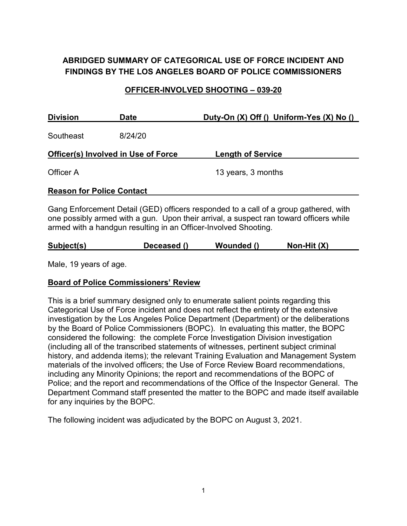# **ABRIDGED SUMMARY OF CATEGORICAL USE OF FORCE INCIDENT AND FINDINGS BY THE LOS ANGELES BOARD OF POLICE COMMISSIONERS**

### **OFFICER-INVOLVED SHOOTING – 039-20**

| <b>Division</b>                            | <b>Date</b> | Duty-On (X) Off () Uniform-Yes (X) No ()                                                                                                                                       |  |  |
|--------------------------------------------|-------------|--------------------------------------------------------------------------------------------------------------------------------------------------------------------------------|--|--|
| Southeast                                  | 8/24/20     |                                                                                                                                                                                |  |  |
| <b>Officer(s) Involved in Use of Force</b> |             | <b>Length of Service</b>                                                                                                                                                       |  |  |
| Officer A                                  |             | 13 years, 3 months                                                                                                                                                             |  |  |
| <b>Reason for Police Contact</b>           |             |                                                                                                                                                                                |  |  |
|                                            |             | Gang Enforcement Detail (GED) officers responded to a call of a group gathered, with<br>one possibly armed with a gun. Upon their arrival, a suspect ran toward officers while |  |  |

one possibly armed with a gun. Upon their arrival, a suspect ran toward officers while armed with a handgun resulting in an Officer-Involved Shooting.

| Subject(s) | Deceased () | Wounded () | Non-Hit $(X)$ |  |
|------------|-------------|------------|---------------|--|
|            |             |            |               |  |

Male, 19 years of age.

## **Board of Police Commissioners' Review**

This is a brief summary designed only to enumerate salient points regarding this Categorical Use of Force incident and does not reflect the entirety of the extensive investigation by the Los Angeles Police Department (Department) or the deliberations by the Board of Police Commissioners (BOPC). In evaluating this matter, the BOPC considered the following: the complete Force Investigation Division investigation (including all of the transcribed statements of witnesses, pertinent subject criminal history, and addenda items); the relevant Training Evaluation and Management System materials of the involved officers; the Use of Force Review Board recommendations, including any Minority Opinions; the report and recommendations of the BOPC of Police; and the report and recommendations of the Office of the Inspector General. The Department Command staff presented the matter to the BOPC and made itself available for any inquiries by the BOPC.

The following incident was adjudicated by the BOPC on August 3, 2021.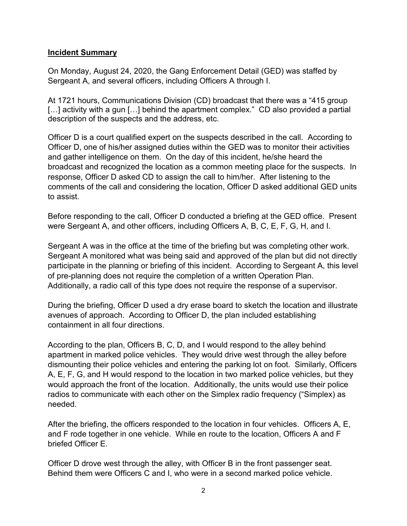### **Incident Summary**

On Monday, August 24, 2020, the Gang Enforcement Detail (GED) was staffed by Sergeant A, and several officers, including Officers A through I.

At 1721 hours, Communications Division (CD) broadcast that there was a "415 group [...] activity with a gun [...] behind the apartment complex." CD also provided a partial description of the suspects and the address, etc.

Officer D is a court qualified expert on the suspects described in the call. According to Officer D, one of his/her assigned duties within the GED was to monitor their activities and gather intelligence on them. On the day of this incident, he/she heard the broadcast and recognized the location as a common meeting place for the suspects. In response, Officer D asked CD to assign the call to him/her. After listening to the comments of the call and considering the location, Officer D asked additional GED units to assist.

Before responding to the call, Officer D conducted a briefing at the GED office. Present were Sergeant A, and other officers, including Officers A, B, C, E, F, G, H, and I.

Sergeant A was in the office at the time of the briefing but was completing other work. Sergeant A monitored what was being said and approved of the plan but did not directly participate in the planning or briefing of this incident. According to Sergeant A, this level of pre-planning does not require the completion of a written Operation Plan. Additionally, a radio call of this type does not require the response of a supervisor.

During the briefing, Officer D used a dry erase board to sketch the location and illustrate avenues of approach. According to Officer D, the plan included establishing containment in all four directions.

According to the plan, Officers B, C, D, and I would respond to the alley behind apartment in marked police vehicles. They would drive west through the alley before dismounting their police vehicles and entering the parking lot on foot. Similarly, Officers A, E, F, G, and H would respond to the location in two marked police vehicles, but they would approach the front of the location. Additionally, the units would use their police radios to communicate with each other on the Simplex radio frequency ("Simplex) as needed.

After the briefing, the officers responded to the location in four vehicles. Officers A, E, and F rode together in one vehicle. While en route to the location, Officers A and F briefed Officer E.

Officer D drove west through the alley, with Officer B in the front passenger seat. Behind them were Officers C and I, who were in a second marked police vehicle.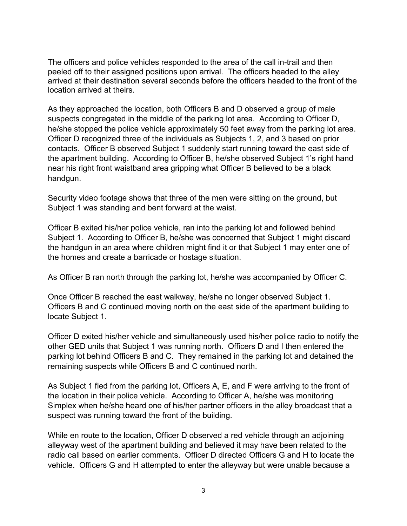The officers and police vehicles responded to the area of the call in-trail and then peeled off to their assigned positions upon arrival. The officers headed to the alley arrived at their destination several seconds before the officers headed to the front of the location arrived at theirs.

As they approached the location, both Officers B and D observed a group of male suspects congregated in the middle of the parking lot area. According to Officer D, he/she stopped the police vehicle approximately 50 feet away from the parking lot area. Officer D recognized three of the individuals as Subjects 1, 2, and 3 based on prior contacts. Officer B observed Subject 1 suddenly start running toward the east side of the apartment building. According to Officer B, he/she observed Subject 1's right hand near his right front waistband area gripping what Officer B believed to be a black handgun.

Security video footage shows that three of the men were sitting on the ground, but Subject 1 was standing and bent forward at the waist.

Officer B exited his/her police vehicle, ran into the parking lot and followed behind Subject 1. According to Officer B, he/she was concerned that Subject 1 might discard the handgun in an area where children might find it or that Subject 1 may enter one of the homes and create a barricade or hostage situation.

As Officer B ran north through the parking lot, he/she was accompanied by Officer C.

Once Officer B reached the east walkway, he/she no longer observed Subject 1. Officers B and C continued moving north on the east side of the apartment building to locate Subject 1.

Officer D exited his/her vehicle and simultaneously used his/her police radio to notify the other GED units that Subject 1 was running north. Officers D and I then entered the parking lot behind Officers B and C. They remained in the parking lot and detained the remaining suspects while Officers B and C continued north.

As Subject 1 fled from the parking lot, Officers A, E, and F were arriving to the front of the location in their police vehicle. According to Officer A, he/she was monitoring Simplex when he/she heard one of his/her partner officers in the alley broadcast that a suspect was running toward the front of the building.

While en route to the location, Officer D observed a red vehicle through an adjoining alleyway west of the apartment building and believed it may have been related to the radio call based on earlier comments. Officer D directed Officers G and H to locate the vehicle. Officers G and H attempted to enter the alleyway but were unable because a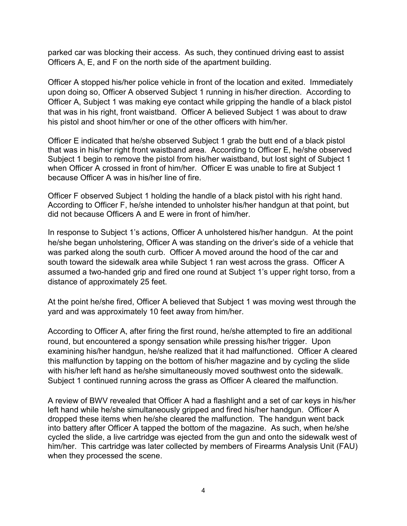parked car was blocking their access. As such, they continued driving east to assist Officers A, E, and F on the north side of the apartment building.

Officer A stopped his/her police vehicle in front of the location and exited. Immediately upon doing so, Officer A observed Subject 1 running in his/her direction. According to Officer A, Subject 1 was making eye contact while gripping the handle of a black pistol that was in his right, front waistband. Officer A believed Subject 1 was about to draw his pistol and shoot him/her or one of the other officers with him/her.

Officer E indicated that he/she observed Subject 1 grab the butt end of a black pistol that was in his/her right front waistband area. According to Officer E, he/she observed Subject 1 begin to remove the pistol from his/her waistband, but lost sight of Subject 1 when Officer A crossed in front of him/her. Officer E was unable to fire at Subject 1 because Officer A was in his/her line of fire.

Officer F observed Subject 1 holding the handle of a black pistol with his right hand. According to Officer F, he/she intended to unholster his/her handgun at that point, but did not because Officers A and E were in front of him/her.

In response to Subject 1's actions, Officer A unholstered his/her handgun. At the point he/she began unholstering, Officer A was standing on the driver's side of a vehicle that was parked along the south curb. Officer A moved around the hood of the car and south toward the sidewalk area while Subject 1 ran west across the grass. Officer A assumed a two-handed grip and fired one round at Subject 1's upper right torso, from a distance of approximately 25 feet.

At the point he/she fired, Officer A believed that Subject 1 was moving west through the yard and was approximately 10 feet away from him/her.

According to Officer A, after firing the first round, he/she attempted to fire an additional round, but encountered a spongy sensation while pressing his/her trigger. Upon examining his/her handgun, he/she realized that it had malfunctioned. Officer A cleared this malfunction by tapping on the bottom of his/her magazine and by cycling the slide with his/her left hand as he/she simultaneously moved southwest onto the sidewalk. Subject 1 continued running across the grass as Officer A cleared the malfunction.

A review of BWV revealed that Officer A had a flashlight and a set of car keys in his/her left hand while he/she simultaneously gripped and fired his/her handgun. Officer A dropped these items when he/she cleared the malfunction. The handgun went back into battery after Officer A tapped the bottom of the magazine. As such, when he/she cycled the slide, a live cartridge was ejected from the gun and onto the sidewalk west of him/her. This cartridge was later collected by members of Firearms Analysis Unit (FAU) when they processed the scene.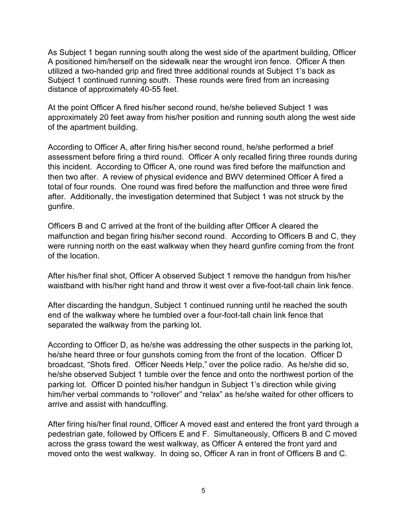As Subject 1 began running south along the west side of the apartment building, Officer A positioned him/herself on the sidewalk near the wrought iron fence. Officer A then utilized a two-handed grip and fired three additional rounds at Subject 1's back as Subject 1 continued running south. These rounds were fired from an increasing distance of approximately 40-55 feet.

At the point Officer A fired his/her second round, he/she believed Subject 1 was approximately 20 feet away from his/her position and running south along the west side of the apartment building.

According to Officer A, after firing his/her second round, he/she performed a brief assessment before firing a third round. Officer A only recalled firing three rounds during this incident. According to Officer A, one round was fired before the malfunction and then two after. A review of physical evidence and BWV determined Officer A fired a total of four rounds. One round was fired before the malfunction and three were fired after. Additionally, the investigation determined that Subject 1 was not struck by the gunfire.

Officers B and C arrived at the front of the building after Officer A cleared the malfunction and began firing his/her second round. According to Officers B and C, they were running north on the east walkway when they heard gunfire coming from the front of the location.

After his/her final shot, Officer A observed Subject 1 remove the handgun from his/her waistband with his/her right hand and throw it west over a five-foot-tall chain link fence.

After discarding the handgun, Subject 1 continued running until he reached the south end of the walkway where he tumbled over a four-foot-tall chain link fence that separated the walkway from the parking lot.

According to Officer D, as he/she was addressing the other suspects in the parking lot, he/she heard three or four gunshots coming from the front of the location. Officer D broadcast, "Shots fired. Officer Needs Help," over the police radio. As he/she did so, he/she observed Subject 1 tumble over the fence and onto the northwest portion of the parking lot. Officer D pointed his/her handgun in Subject 1's direction while giving him/her verbal commands to "rollover" and "relax" as he/she waited for other officers to arrive and assist with handcuffing.

After firing his/her final round, Officer A moved east and entered the front yard through a pedestrian gate, followed by Officers E and F. Simultaneously, Officers B and C moved across the grass toward the west walkway, as Officer A entered the front yard and moved onto the west walkway. In doing so, Officer A ran in front of Officers B and C.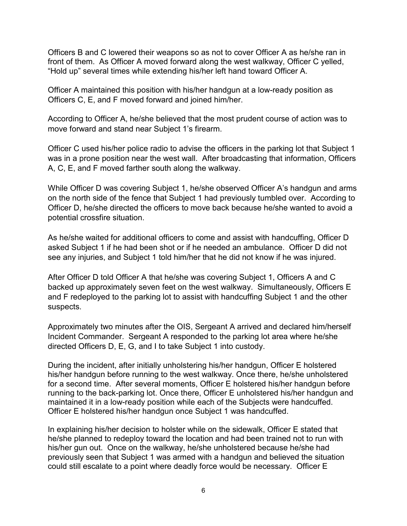Officers B and C lowered their weapons so as not to cover Officer A as he/she ran in front of them. As Officer A moved forward along the west walkway, Officer C yelled, "Hold up" several times while extending his/her left hand toward Officer A.

Officer A maintained this position with his/her handgun at a low-ready position as Officers C, E, and F moved forward and joined him/her.

According to Officer A, he/she believed that the most prudent course of action was to move forward and stand near Subject 1's firearm.

Officer C used his/her police radio to advise the officers in the parking lot that Subject 1 was in a prone position near the west wall. After broadcasting that information, Officers A, C, E, and F moved farther south along the walkway.

While Officer D was covering Subject 1, he/she observed Officer A's handgun and arms on the north side of the fence that Subject 1 had previously tumbled over. According to Officer D, he/she directed the officers to move back because he/she wanted to avoid a potential crossfire situation.

As he/she waited for additional officers to come and assist with handcuffing, Officer D asked Subject 1 if he had been shot or if he needed an ambulance. Officer D did not see any injuries, and Subject 1 told him/her that he did not know if he was injured.

After Officer D told Officer A that he/she was covering Subject 1, Officers A and C backed up approximately seven feet on the west walkway. Simultaneously, Officers E and F redeployed to the parking lot to assist with handcuffing Subject 1 and the other suspects.

Approximately two minutes after the OIS, Sergeant A arrived and declared him/herself Incident Commander. Sergeant A responded to the parking lot area where he/she directed Officers D, E, G, and I to take Subject 1 into custody.

During the incident, after initially unholstering his/her handgun, Officer E holstered his/her handgun before running to the west walkway. Once there, he/she unholstered for a second time. After several moments, Officer E holstered his/her handgun before running to the back-parking lot. Once there, Officer E unholstered his/her handgun and maintained it in a low-ready position while each of the Subjects were handcuffed. Officer E holstered his/her handgun once Subject 1 was handcuffed.

In explaining his/her decision to holster while on the sidewalk, Officer E stated that he/she planned to redeploy toward the location and had been trained not to run with his/her gun out. Once on the walkway, he/she unholstered because he/she had previously seen that Subject 1 was armed with a handgun and believed the situation could still escalate to a point where deadly force would be necessary. Officer E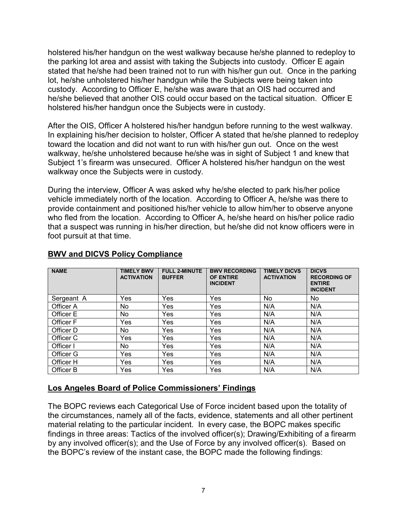holstered his/her handgun on the west walkway because he/she planned to redeploy to the parking lot area and assist with taking the Subjects into custody. Officer E again stated that he/she had been trained not to run with his/her gun out. Once in the parking lot, he/she unholstered his/her handgun while the Subjects were being taken into custody. According to Officer E, he/she was aware that an OIS had occurred and he/she believed that another OIS could occur based on the tactical situation. Officer E holstered his/her handgun once the Subjects were in custody.

After the OIS, Officer A holstered his/her handgun before running to the west walkway. In explaining his/her decision to holster, Officer A stated that he/she planned to redeploy toward the location and did not want to run with his/her gun out. Once on the west walkway, he/she unholstered because he/she was in sight of Subject 1 and knew that Subject 1's firearm was unsecured. Officer A holstered his/her handgun on the west walkway once the Subjects were in custody.

During the interview, Officer A was asked why he/she elected to park his/her police vehicle immediately north of the location. According to Officer A, he/she was there to provide containment and positioned his/her vehicle to allow him/her to observe anyone who fled from the location. According to Officer A, he/she heard on his/her police radio that a suspect was running in his/her direction, but he/she did not know officers were in foot pursuit at that time.

| <b>NAME</b> | <b>TIMELY BWV</b><br><b>ACTIVATION</b> | <b>FULL 2-MINUTE</b><br><b>BUFFER</b> | <b>BWV RECORDING</b><br><b>OF ENTIRE</b><br><b>INCIDENT</b> | <b>TIMELY DICVS</b><br><b>ACTIVATION</b> | <b>DICVS</b><br><b>RECORDING OF</b><br><b>ENTIRE</b><br><b>INCIDENT</b> |
|-------------|----------------------------------------|---------------------------------------|-------------------------------------------------------------|------------------------------------------|-------------------------------------------------------------------------|
| Sergeant A  | Yes                                    | Yes                                   | Yes                                                         | No                                       | No.                                                                     |
| Officer A   | No                                     | Yes                                   | Yes                                                         | N/A                                      | N/A                                                                     |
| Officer E   | No                                     | Yes                                   | Yes                                                         | N/A                                      | N/A                                                                     |
| Officer F   | Yes                                    | Yes                                   | Yes                                                         | N/A                                      | N/A                                                                     |
| Officer D   | No                                     | Yes                                   | Yes                                                         | N/A                                      | N/A                                                                     |
| Officer C   | Yes                                    | Yes                                   | Yes                                                         | N/A                                      | N/A                                                                     |
| Officer I   | No.                                    | <b>Yes</b>                            | Yes                                                         | N/A                                      | N/A                                                                     |
| Officer G   | Yes                                    | Yes                                   | Yes                                                         | N/A                                      | N/A                                                                     |
| Officer H   | Yes                                    | Yes                                   | Yes                                                         | N/A                                      | N/A                                                                     |
| Officer B   | Yes                                    | Yes                                   | Yes                                                         | N/A                                      | N/A                                                                     |

## **BWV and DICVS Policy Compliance**

#### **Los Angeles Board of Police Commissioners' Findings**

The BOPC reviews each Categorical Use of Force incident based upon the totality of the circumstances, namely all of the facts, evidence, statements and all other pertinent material relating to the particular incident. In every case, the BOPC makes specific findings in three areas: Tactics of the involved officer(s); Drawing/Exhibiting of a firearm by any involved officer(s); and the Use of Force by any involved officer(s). Based on the BOPC's review of the instant case, the BOPC made the following findings: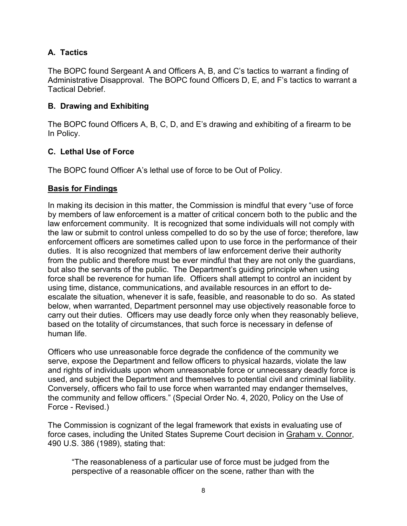# **A. Tactics**

The BOPC found Sergeant A and Officers A, B, and C's tactics to warrant a finding of Administrative Disapproval. The BOPC found Officers D, E, and F's tactics to warrant a Tactical Debrief.

## **B. Drawing and Exhibiting**

The BOPC found Officers A, B, C, D, and E's drawing and exhibiting of a firearm to be In Policy.

## **C. Lethal Use of Force**

The BOPC found Officer A's lethal use of force to be Out of Policy.

### **Basis for Findings**

In making its decision in this matter, the Commission is mindful that every "use of force by members of law enforcement is a matter of critical concern both to the public and the law enforcement community. It is recognized that some individuals will not comply with the law or submit to control unless compelled to do so by the use of force; therefore, law enforcement officers are sometimes called upon to use force in the performance of their duties. It is also recognized that members of law enforcement derive their authority from the public and therefore must be ever mindful that they are not only the guardians, but also the servants of the public. The Department's guiding principle when using force shall be reverence for human life. Officers shall attempt to control an incident by using time, distance, communications, and available resources in an effort to deescalate the situation, whenever it is safe, feasible, and reasonable to do so. As stated below, when warranted, Department personnel may use objectively reasonable force to carry out their duties. Officers may use deadly force only when they reasonably believe, based on the totality of circumstances, that such force is necessary in defense of human life.

Officers who use unreasonable force degrade the confidence of the community we serve, expose the Department and fellow officers to physical hazards, violate the law and rights of individuals upon whom unreasonable force or unnecessary deadly force is used, and subject the Department and themselves to potential civil and criminal liability. Conversely, officers who fail to use force when warranted may endanger themselves, the community and fellow officers." (Special Order No. 4, 2020, Policy on the Use of Force - Revised.)

The Commission is cognizant of the legal framework that exists in evaluating use of force cases, including the United States Supreme Court decision in Graham v. Connor, 490 U.S. 386 (1989), stating that:

"The reasonableness of a particular use of force must be judged from the perspective of a reasonable officer on the scene, rather than with the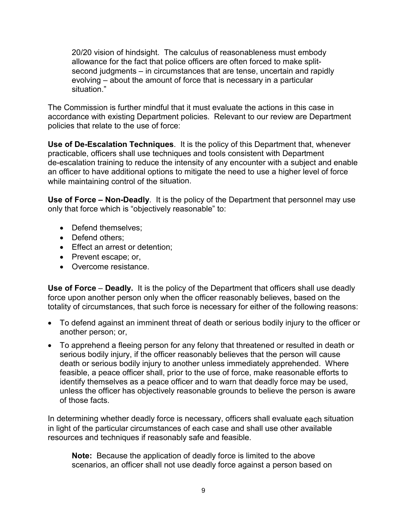20/20 vision of hindsight. The calculus of reasonableness must embody allowance for the fact that police officers are often forced to make splitsecond judgments – in circumstances that are tense, uncertain and rapidly evolving – about the amount of force that is necessary in a particular situation."

The Commission is further mindful that it must evaluate the actions in this case in accordance with existing Department policies. Relevant to our review are Department policies that relate to the use of force:

**Use of De-Escalation Techniques**. It is the policy of this Department that, whenever practicable, officers shall use techniques and tools consistent with Department de-escalation training to reduce the intensity of any encounter with a subject and enable an officer to have additional options to mitigate the need to use a higher level of force while maintaining control of the situation.

**Use of Force – Non-Deadly**. It is the policy of the Department that personnel may use only that force which is "objectively reasonable" to:

- Defend themselves:
- Defend others;
- Effect an arrest or detention;
- Prevent escape; or,
- Overcome resistance.

**Use of Force** – **Deadly.** It is the policy of the Department that officers shall use deadly force upon another person only when the officer reasonably believes, based on the totality of circumstances, that such force is necessary for either of the following reasons:

- To defend against an imminent threat of death or serious bodily injury to the officer or another person; or,
- To apprehend a fleeing person for any felony that threatened or resulted in death or serious bodily injury, if the officer reasonably believes that the person will cause death or serious bodily injury to another unless immediately apprehended. Where feasible, a peace officer shall, prior to the use of force, make reasonable efforts to identify themselves as a peace officer and to warn that deadly force may be used, unless the officer has objectively reasonable grounds to believe the person is aware of those facts.

In determining whether deadly force is necessary, officers shall evaluate each situation in light of the particular circumstances of each case and shall use other available resources and techniques if reasonably safe and feasible.

**Note:** Because the application of deadly force is limited to the above scenarios, an officer shall not use deadly force against a person based on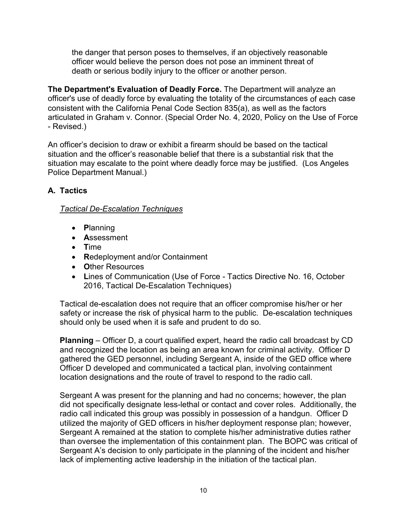the danger that person poses to themselves, if an objectively reasonable officer would believe the person does not pose an imminent threat of death or serious bodily injury to the officer or another person.

**The Department's Evaluation of Deadly Force.** The Department will analyze an officer's use of deadly force by evaluating the totality of the circumstances of each case consistent with the California Penal Code Section 835(a), as well as the factors articulated in Graham v. Connor. (Special Order No. 4, 2020, Policy on the Use of Force - Revised.)

An officer's decision to draw or exhibit a firearm should be based on the tactical situation and the officer's reasonable belief that there is a substantial risk that the situation may escalate to the point where deadly force may be justified. (Los Angeles Police Department Manual.)

# **A. Tactics**

## *Tactical De-Escalation Techniques*

- **P**lanning
- **A**ssessment
- **T**ime
- **R**edeployment and/or Containment
- **O**ther Resources
- **L**ines of Communication (Use of Force Tactics Directive No. 16, October 2016, Tactical De-Escalation Techniques)

Tactical de-escalation does not require that an officer compromise his/her or her safety or increase the risk of physical harm to the public. De-escalation techniques should only be used when it is safe and prudent to do so.

**Planning** – Officer D, a court qualified expert, heard the radio call broadcast by CD and recognized the location as being an area known for criminal activity. Officer D gathered the GED personnel, including Sergeant A, inside of the GED office where Officer D developed and communicated a tactical plan, involving containment location designations and the route of travel to respond to the radio call.

Sergeant A was present for the planning and had no concerns; however, the plan did not specifically designate less-lethal or contact and cover roles. Additionally, the radio call indicated this group was possibly in possession of a handgun. Officer D utilized the majority of GED officers in his/her deployment response plan; however, Sergeant A remained at the station to complete his/her administrative duties rather than oversee the implementation of this containment plan. The BOPC was critical of Sergeant A's decision to only participate in the planning of the incident and his/her lack of implementing active leadership in the initiation of the tactical plan.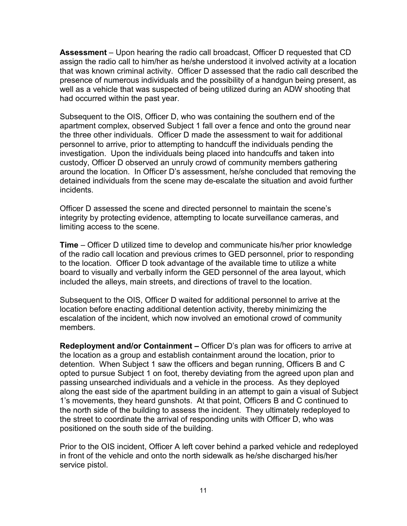**Assessment** – Upon hearing the radio call broadcast, Officer D requested that CD assign the radio call to him/her as he/she understood it involved activity at a location that was known criminal activity. Officer D assessed that the radio call described the presence of numerous individuals and the possibility of a handgun being present, as well as a vehicle that was suspected of being utilized during an ADW shooting that had occurred within the past year.

Subsequent to the OIS, Officer D, who was containing the southern end of the apartment complex, observed Subject 1 fall over a fence and onto the ground near the three other individuals. Officer D made the assessment to wait for additional personnel to arrive, prior to attempting to handcuff the individuals pending the investigation. Upon the individuals being placed into handcuffs and taken into custody, Officer D observed an unruly crowd of community members gathering around the location. In Officer D's assessment, he/she concluded that removing the detained individuals from the scene may de-escalate the situation and avoid further incidents.

Officer D assessed the scene and directed personnel to maintain the scene's integrity by protecting evidence, attempting to locate surveillance cameras, and limiting access to the scene.

**Time** – Officer D utilized time to develop and communicate his/her prior knowledge of the radio call location and previous crimes to GED personnel, prior to responding to the location. Officer D took advantage of the available time to utilize a white board to visually and verbally inform the GED personnel of the area layout, which included the alleys, main streets, and directions of travel to the location.

Subsequent to the OIS, Officer D waited for additional personnel to arrive at the location before enacting additional detention activity, thereby minimizing the escalation of the incident, which now involved an emotional crowd of community members.

**Redeployment and/or Containment –** Officer D's plan was for officers to arrive at the location as a group and establish containment around the location, prior to detention. When Subject 1 saw the officers and began running, Officers B and C opted to pursue Subject 1 on foot, thereby deviating from the agreed upon plan and passing unsearched individuals and a vehicle in the process. As they deployed along the east side of the apartment building in an attempt to gain a visual of Subject 1's movements, they heard gunshots. At that point, Officers B and C continued to the north side of the building to assess the incident. They ultimately redeployed to the street to coordinate the arrival of responding units with Officer D, who was positioned on the south side of the building.

Prior to the OIS incident, Officer A left cover behind a parked vehicle and redeployed in front of the vehicle and onto the north sidewalk as he/she discharged his/her service pistol.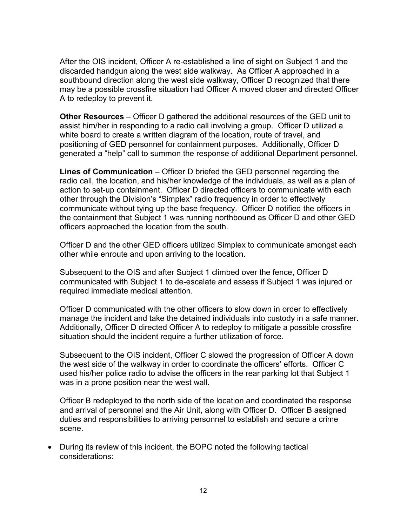After the OIS incident, Officer A re-established a line of sight on Subject 1 and the discarded handgun along the west side walkway. As Officer A approached in a southbound direction along the west side walkway, Officer D recognized that there may be a possible crossfire situation had Officer A moved closer and directed Officer A to redeploy to prevent it.

**Other Resources** – Officer D gathered the additional resources of the GED unit to assist him/her in responding to a radio call involving a group. Officer D utilized a white board to create a written diagram of the location, route of travel, and positioning of GED personnel for containment purposes. Additionally, Officer D generated a "help" call to summon the response of additional Department personnel.

**Lines of Communication** – Officer D briefed the GED personnel regarding the radio call, the location, and his/her knowledge of the individuals, as well as a plan of action to set-up containment. Officer D directed officers to communicate with each other through the Division's "Simplex" radio frequency in order to effectively communicate without tying up the base frequency. Officer D notified the officers in the containment that Subject 1 was running northbound as Officer D and other GED officers approached the location from the south.

Officer D and the other GED officers utilized Simplex to communicate amongst each other while enroute and upon arriving to the location.

Subsequent to the OIS and after Subject 1 climbed over the fence, Officer D communicated with Subject 1 to de-escalate and assess if Subject 1 was injured or required immediate medical attention.

Officer D communicated with the other officers to slow down in order to effectively manage the incident and take the detained individuals into custody in a safe manner. Additionally, Officer D directed Officer A to redeploy to mitigate a possible crossfire situation should the incident require a further utilization of force.

Subsequent to the OIS incident, Officer C slowed the progression of Officer A down the west side of the walkway in order to coordinate the officers' efforts. Officer C used his/her police radio to advise the officers in the rear parking lot that Subject 1 was in a prone position near the west wall.

Officer B redeployed to the north side of the location and coordinated the response and arrival of personnel and the Air Unit, along with Officer D. Officer B assigned duties and responsibilities to arriving personnel to establish and secure a crime scene.

• During its review of this incident, the BOPC noted the following tactical considerations: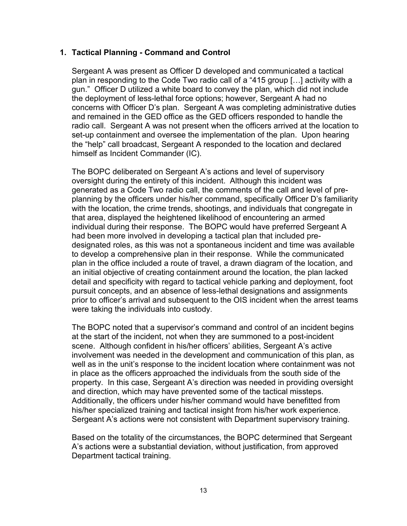### **1. Tactical Planning - Command and Control**

Sergeant A was present as Officer D developed and communicated a tactical plan in responding to the Code Two radio call of a "415 group […] activity with a gun." Officer D utilized a white board to convey the plan, which did not include the deployment of less-lethal force options; however, Sergeant A had no concerns with Officer D's plan. Sergeant A was completing administrative duties and remained in the GED office as the GED officers responded to handle the radio call. Sergeant A was not present when the officers arrived at the location to set-up containment and oversee the implementation of the plan. Upon hearing the "help" call broadcast, Sergeant A responded to the location and declared himself as Incident Commander (IC).

The BOPC deliberated on Sergeant A's actions and level of supervisory oversight during the entirety of this incident. Although this incident was generated as a Code Two radio call, the comments of the call and level of preplanning by the officers under his/her command, specifically Officer D's familiarity with the location, the crime trends, shootings, and individuals that congregate in that area, displayed the heightened likelihood of encountering an armed individual during their response. The BOPC would have preferred Sergeant A had been more involved in developing a tactical plan that included predesignated roles, as this was not a spontaneous incident and time was available to develop a comprehensive plan in their response. While the communicated plan in the office included a route of travel, a drawn diagram of the location, and an initial objective of creating containment around the location, the plan lacked detail and specificity with regard to tactical vehicle parking and deployment, foot pursuit concepts, and an absence of less-lethal designations and assignments prior to officer's arrival and subsequent to the OIS incident when the arrest teams were taking the individuals into custody.

The BOPC noted that a supervisor's command and control of an incident begins at the start of the incident, not when they are summoned to a post-incident scene. Although confident in his/her officers' abilities, Sergeant A's active involvement was needed in the development and communication of this plan, as well as in the unit's response to the incident location where containment was not in place as the officers approached the individuals from the south side of the property. In this case, Sergeant A's direction was needed in providing oversight and direction, which may have prevented some of the tactical missteps. Additionally, the officers under his/her command would have benefitted from his/her specialized training and tactical insight from his/her work experience. Sergeant A's actions were not consistent with Department supervisory training.

Based on the totality of the circumstances, the BOPC determined that Sergeant A's actions were a substantial deviation, without justification, from approved Department tactical training.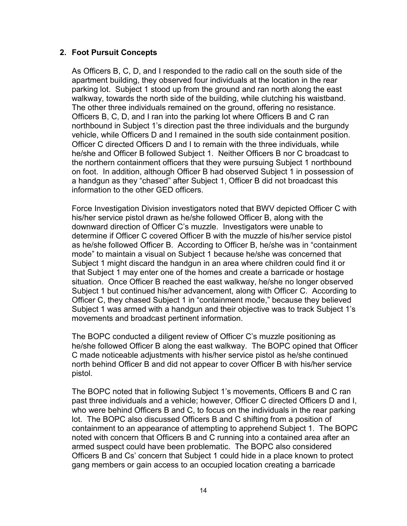### **2. Foot Pursuit Concepts**

As Officers B, C, D, and I responded to the radio call on the south side of the apartment building, they observed four individuals at the location in the rear parking lot. Subject 1 stood up from the ground and ran north along the east walkway, towards the north side of the building, while clutching his waistband. The other three individuals remained on the ground, offering no resistance. Officers B, C, D, and I ran into the parking lot where Officers B and C ran northbound in Subject 1's direction past the three individuals and the burgundy vehicle, while Officers D and I remained in the south side containment position. Officer C directed Officers D and I to remain with the three individuals, while he/she and Officer B followed Subject 1. Neither Officers B nor C broadcast to the northern containment officers that they were pursuing Subject 1 northbound on foot. In addition, although Officer B had observed Subject 1 in possession of a handgun as they "chased" after Subject 1, Officer B did not broadcast this information to the other GED officers.

Force Investigation Division investigators noted that BWV depicted Officer C with his/her service pistol drawn as he/she followed Officer B, along with the downward direction of Officer C's muzzle. Investigators were unable to determine if Officer C covered Officer B with the muzzle of his/her service pistol as he/she followed Officer B. According to Officer B, he/she was in "containment mode" to maintain a visual on Subject 1 because he/she was concerned that Subject 1 might discard the handgun in an area where children could find it or that Subject 1 may enter one of the homes and create a barricade or hostage situation. Once Officer B reached the east walkway, he/she no longer observed Subject 1 but continued his/her advancement, along with Officer C. According to Officer C, they chased Subject 1 in "containment mode," because they believed Subject 1 was armed with a handgun and their objective was to track Subject 1's movements and broadcast pertinent information.

The BOPC conducted a diligent review of Officer C's muzzle positioning as he/she followed Officer B along the east walkway. The BOPC opined that Officer C made noticeable adjustments with his/her service pistol as he/she continued north behind Officer B and did not appear to cover Officer B with his/her service pistol.

The BOPC noted that in following Subject 1's movements, Officers B and C ran past three individuals and a vehicle; however, Officer C directed Officers D and I, who were behind Officers B and C, to focus on the individuals in the rear parking lot. The BOPC also discussed Officers B and C shifting from a position of containment to an appearance of attempting to apprehend Subject 1. The BOPC noted with concern that Officers B and C running into a contained area after an armed suspect could have been problematic. The BOPC also considered Officers B and Cs' concern that Subject 1 could hide in a place known to protect gang members or gain access to an occupied location creating a barricade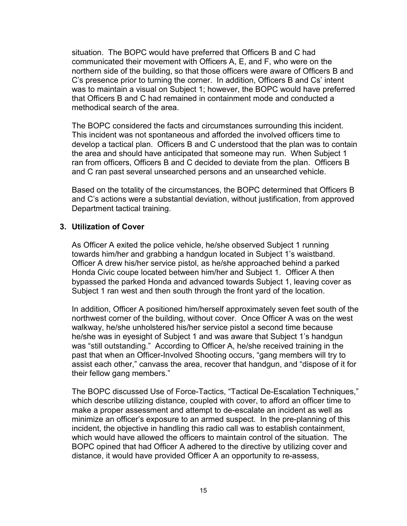situation. The BOPC would have preferred that Officers B and C had communicated their movement with Officers A, E, and F, who were on the northern side of the building, so that those officers were aware of Officers B and C's presence prior to turning the corner. In addition, Officers B and Cs' intent was to maintain a visual on Subject 1; however, the BOPC would have preferred that Officers B and C had remained in containment mode and conducted a methodical search of the area.

The BOPC considered the facts and circumstances surrounding this incident. This incident was not spontaneous and afforded the involved officers time to develop a tactical plan. Officers B and C understood that the plan was to contain the area and should have anticipated that someone may run. When Subject 1 ran from officers, Officers B and C decided to deviate from the plan. Officers B and C ran past several unsearched persons and an unsearched vehicle.

Based on the totality of the circumstances, the BOPC determined that Officers B and C's actions were a substantial deviation, without justification, from approved Department tactical training.

#### **3. Utilization of Cover**

As Officer A exited the police vehicle, he/she observed Subject 1 running towards him/her and grabbing a handgun located in Subject 1's waistband. Officer A drew his/her service pistol, as he/she approached behind a parked Honda Civic coupe located between him/her and Subject 1. Officer A then bypassed the parked Honda and advanced towards Subject 1, leaving cover as Subject 1 ran west and then south through the front yard of the location.

In addition, Officer A positioned him/herself approximately seven feet south of the northwest corner of the building, without cover. Once Officer A was on the west walkway, he/she unholstered his/her service pistol a second time because he/she was in eyesight of Subject 1 and was aware that Subject 1's handgun was "still outstanding." According to Officer A, he/she received training in the past that when an Officer-Involved Shooting occurs, "gang members will try to assist each other," canvass the area, recover that handgun, and "dispose of it for their fellow gang members."

The BOPC discussed Use of Force-Tactics, "Tactical De-Escalation Techniques," which describe utilizing distance, coupled with cover, to afford an officer time to make a proper assessment and attempt to de-escalate an incident as well as minimize an officer's exposure to an armed suspect. In the pre-planning of this incident, the objective in handling this radio call was to establish containment, which would have allowed the officers to maintain control of the situation. The BOPC opined that had Officer A adhered to the directive by utilizing cover and distance, it would have provided Officer A an opportunity to re-assess,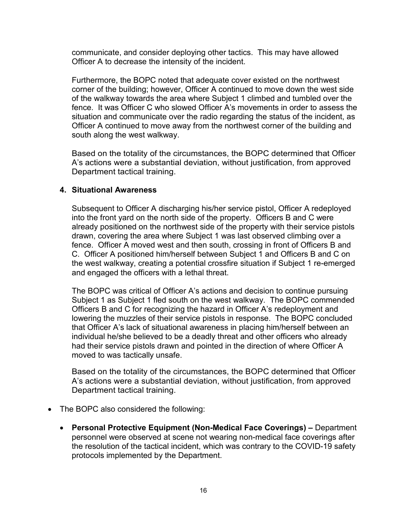communicate, and consider deploying other tactics. This may have allowed Officer A to decrease the intensity of the incident.

Furthermore, the BOPC noted that adequate cover existed on the northwest corner of the building; however, Officer A continued to move down the west side of the walkway towards the area where Subject 1 climbed and tumbled over the fence. It was Officer C who slowed Officer A's movements in order to assess the situation and communicate over the radio regarding the status of the incident, as Officer A continued to move away from the northwest corner of the building and south along the west walkway.

Based on the totality of the circumstances, the BOPC determined that Officer A's actions were a substantial deviation, without justification, from approved Department tactical training.

#### **4. Situational Awareness**

Subsequent to Officer A discharging his/her service pistol, Officer A redeployed into the front yard on the north side of the property. Officers B and C were already positioned on the northwest side of the property with their service pistols drawn, covering the area where Subject 1 was last observed climbing over a fence. Officer A moved west and then south, crossing in front of Officers B and C. Officer A positioned him/herself between Subject 1 and Officers B and C on the west walkway, creating a potential crossfire situation if Subject 1 re-emerged and engaged the officers with a lethal threat.

The BOPC was critical of Officer A's actions and decision to continue pursuing Subject 1 as Subject 1 fled south on the west walkway. The BOPC commended Officers B and C for recognizing the hazard in Officer A's redeployment and lowering the muzzles of their service pistols in response. The BOPC concluded that Officer A's lack of situational awareness in placing him/herself between an individual he/she believed to be a deadly threat and other officers who already had their service pistols drawn and pointed in the direction of where Officer A moved to was tactically unsafe.

Based on the totality of the circumstances, the BOPC determined that Officer A's actions were a substantial deviation, without justification, from approved Department tactical training.

- The BOPC also considered the following:
	- **Personal Protective Equipment (Non-Medical Face Coverings) –** Department personnel were observed at scene not wearing non-medical face coverings after the resolution of the tactical incident, which was contrary to the COVID-19 safety protocols implemented by the Department.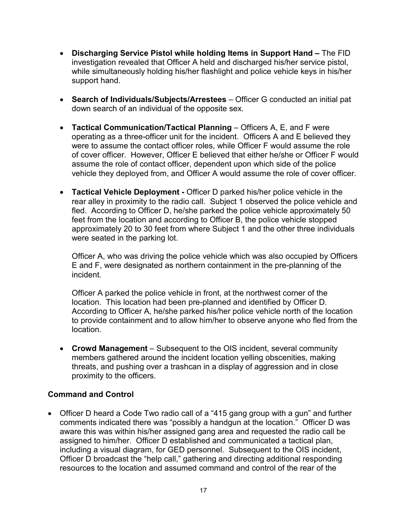- **Discharging Service Pistol while holding Items in Support Hand –** The FID investigation revealed that Officer A held and discharged his/her service pistol, while simultaneously holding his/her flashlight and police vehicle keys in his/her support hand.
- **Search of Individuals/Subjects/Arrestees** Officer G conducted an initial pat down search of an individual of the opposite sex.
- **Tactical Communication/Tactical Planning**  Officers A, E, and F were operating as a three-officer unit for the incident. Officers A and E believed they were to assume the contact officer roles, while Officer F would assume the role of cover officer. However, Officer E believed that either he/she or Officer F would assume the role of contact officer, dependent upon which side of the police vehicle they deployed from, and Officer A would assume the role of cover officer.
- **Tactical Vehicle Deployment -** Officer D parked his/her police vehicle in the rear alley in proximity to the radio call. Subject 1 observed the police vehicle and fled. According to Officer D, he/she parked the police vehicle approximately 50 feet from the location and according to Officer B, the police vehicle stopped approximately 20 to 30 feet from where Subject 1 and the other three individuals were seated in the parking lot.

Officer A, who was driving the police vehicle which was also occupied by Officers E and F, were designated as northern containment in the pre-planning of the incident.

Officer A parked the police vehicle in front, at the northwest corner of the location. This location had been pre-planned and identified by Officer D. According to Officer A, he/she parked his/her police vehicle north of the location to provide containment and to allow him/her to observe anyone who fled from the location.

• **Crowd Management** – Subsequent to the OIS incident, several community members gathered around the incident location yelling obscenities, making threats, and pushing over a trashcan in a display of aggression and in close proximity to the officers.

## **Command and Control**

• Officer D heard a Code Two radio call of a "415 gang group with a gun" and further comments indicated there was "possibly a handgun at the location." Officer D was aware this was within his/her assigned gang area and requested the radio call be assigned to him/her. Officer D established and communicated a tactical plan, including a visual diagram, for GED personnel. Subsequent to the OIS incident, Officer D broadcast the "help call," gathering and directing additional responding resources to the location and assumed command and control of the rear of the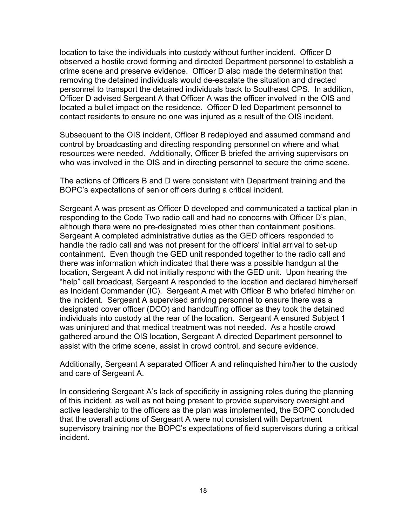location to take the individuals into custody without further incident. Officer D observed a hostile crowd forming and directed Department personnel to establish a crime scene and preserve evidence. Officer D also made the determination that removing the detained individuals would de-escalate the situation and directed personnel to transport the detained individuals back to Southeast CPS. In addition, Officer D advised Sergeant A that Officer A was the officer involved in the OIS and located a bullet impact on the residence. Officer D led Department personnel to contact residents to ensure no one was injured as a result of the OIS incident.

Subsequent to the OIS incident, Officer B redeployed and assumed command and control by broadcasting and directing responding personnel on where and what resources were needed. Additionally, Officer B briefed the arriving supervisors on who was involved in the OIS and in directing personnel to secure the crime scene.

The actions of Officers B and D were consistent with Department training and the BOPC's expectations of senior officers during a critical incident.

Sergeant A was present as Officer D developed and communicated a tactical plan in responding to the Code Two radio call and had no concerns with Officer D's plan, although there were no pre-designated roles other than containment positions. Sergeant A completed administrative duties as the GED officers responded to handle the radio call and was not present for the officers' initial arrival to set-up containment. Even though the GED unit responded together to the radio call and there was information which indicated that there was a possible handgun at the location, Sergeant A did not initially respond with the GED unit. Upon hearing the "help" call broadcast, Sergeant A responded to the location and declared him/herself as Incident Commander (IC). Sergeant A met with Officer B who briefed him/her on the incident. Sergeant A supervised arriving personnel to ensure there was a designated cover officer (DCO) and handcuffing officer as they took the detained individuals into custody at the rear of the location. Sergeant A ensured Subject 1 was uninjured and that medical treatment was not needed. As a hostile crowd gathered around the OIS location, Sergeant A directed Department personnel to assist with the crime scene, assist in crowd control, and secure evidence.

Additionally, Sergeant A separated Officer A and relinquished him/her to the custody and care of Sergeant A.

In considering Sergeant A's lack of specificity in assigning roles during the planning of this incident, as well as not being present to provide supervisory oversight and active leadership to the officers as the plan was implemented, the BOPC concluded that the overall actions of Sergeant A were not consistent with Department supervisory training nor the BOPC's expectations of field supervisors during a critical incident.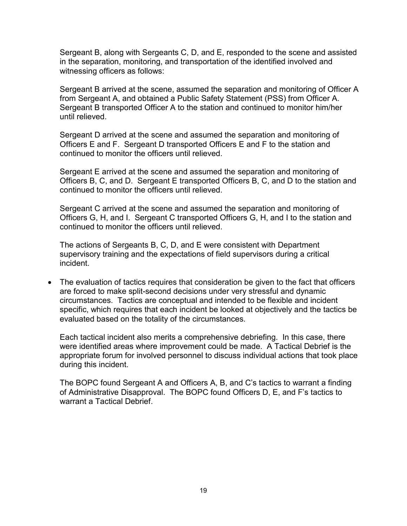Sergeant B, along with Sergeants C, D, and E, responded to the scene and assisted in the separation, monitoring, and transportation of the identified involved and witnessing officers as follows:

Sergeant B arrived at the scene, assumed the separation and monitoring of Officer A from Sergeant A, and obtained a Public Safety Statement (PSS) from Officer A. Sergeant B transported Officer A to the station and continued to monitor him/her until relieved.

Sergeant D arrived at the scene and assumed the separation and monitoring of Officers E and F. Sergeant D transported Officers E and F to the station and continued to monitor the officers until relieved.

Sergeant E arrived at the scene and assumed the separation and monitoring of Officers B, C, and D. Sergeant E transported Officers B, C, and D to the station and continued to monitor the officers until relieved.

Sergeant C arrived at the scene and assumed the separation and monitoring of Officers G, H, and I. Sergeant C transported Officers G, H, and I to the station and continued to monitor the officers until relieved.

The actions of Sergeants B, C, D, and E were consistent with Department supervisory training and the expectations of field supervisors during a critical incident.

• The evaluation of tactics requires that consideration be given to the fact that officers are forced to make split-second decisions under very stressful and dynamic circumstances. Tactics are conceptual and intended to be flexible and incident specific, which requires that each incident be looked at objectively and the tactics be evaluated based on the totality of the circumstances.

Each tactical incident also merits a comprehensive debriefing. In this case, there were identified areas where improvement could be made. A Tactical Debrief is the appropriate forum for involved personnel to discuss individual actions that took place during this incident.

The BOPC found Sergeant A and Officers A, B, and C's tactics to warrant a finding of Administrative Disapproval. The BOPC found Officers D, E, and F's tactics to warrant a Tactical Debrief.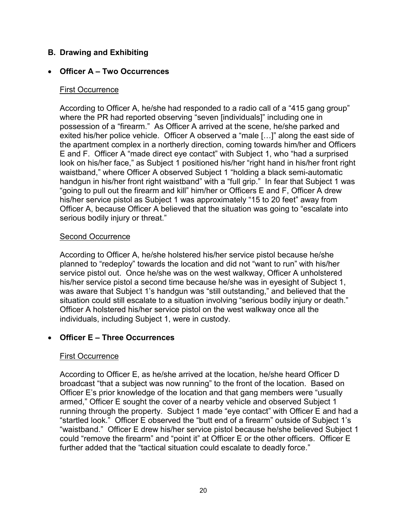### **B. Drawing and Exhibiting**

### • **Officer A – Two Occurrences**

#### First Occurrence

According to Officer A, he/she had responded to a radio call of a "415 gang group" where the PR had reported observing "seven [individuals]" including one in possession of a "firearm." As Officer A arrived at the scene, he/she parked and exited his/her police vehicle. Officer A observed a "male […]" along the east side of the apartment complex in a northerly direction, coming towards him/her and Officers E and F. Officer A "made direct eye contact" with Subject 1, who "had a surprised look on his/her face," as Subject 1 positioned his/her "right hand in his/her front right waistband," where Officer A observed Subject 1 "holding a black semi-automatic handgun in his/her front right waistband" with a "full grip." In fear that Subject 1 was "going to pull out the firearm and kill" him/her or Officers E and F, Officer A drew his/her service pistol as Subject 1 was approximately "15 to 20 feet" away from Officer A, because Officer A believed that the situation was going to "escalate into serious bodily injury or threat."

#### Second Occurrence

According to Officer A, he/she holstered his/her service pistol because he/she planned to "redeploy" towards the location and did not "want to run" with his/her service pistol out. Once he/she was on the west walkway, Officer A unholstered his/her service pistol a second time because he/she was in eyesight of Subject 1, was aware that Subject 1's handgun was "still outstanding," and believed that the situation could still escalate to a situation involving "serious bodily injury or death." Officer A holstered his/her service pistol on the west walkway once all the individuals, including Subject 1, were in custody.

#### • **Officer E – Three Occurrences**

#### First Occurrence

According to Officer E, as he/she arrived at the location, he/she heard Officer D broadcast "that a subject was now running" to the front of the location. Based on Officer E's prior knowledge of the location and that gang members were "usually armed," Officer E sought the cover of a nearby vehicle and observed Subject 1 running through the property. Subject 1 made "eye contact" with Officer E and had a "startled look." Officer E observed the "butt end of a firearm" outside of Subject 1's "waistband." Officer E drew his/her service pistol because he/she believed Subject 1 could "remove the firearm" and "point it" at Officer E or the other officers. Officer E further added that the "tactical situation could escalate to deadly force."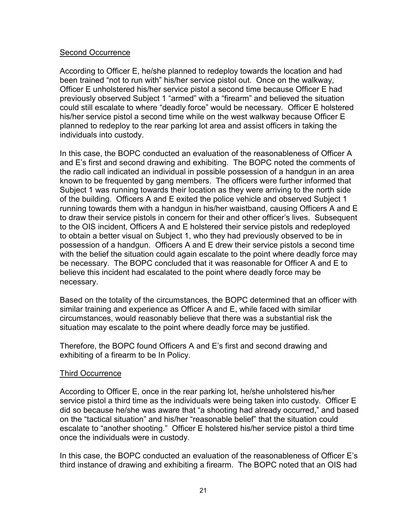#### Second Occurrence

According to Officer E, he/she planned to redeploy towards the location and had been trained "not to run with" his/her service pistol out. Once on the walkway, Officer E unholstered his/her service pistol a second time because Officer E had previously observed Subject 1 "armed" with a "firearm" and believed the situation could still escalate to where "deadly force" would be necessary. Officer E holstered his/her service pistol a second time while on the west walkway because Officer E planned to redeploy to the rear parking lot area and assist officers in taking the individuals into custody.

In this case, the BOPC conducted an evaluation of the reasonableness of Officer A and E's first and second drawing and exhibiting. The BOPC noted the comments of the radio call indicated an individual in possible possession of a handgun in an area known to be frequented by gang members. The officers were further informed that Subject 1 was running towards their location as they were arriving to the north side of the building. Officers A and E exited the police vehicle and observed Subject 1 running towards them with a handgun in his/her waistband, causing Officers A and E to draw their service pistols in concern for their and other officer's lives. Subsequent to the OIS incident, Officers A and E holstered their service pistols and redeployed to obtain a better visual on Subject 1, who they had previously observed to be in possession of a handgun. Officers A and E drew their service pistols a second time with the belief the situation could again escalate to the point where deadly force may be necessary. The BOPC concluded that it was reasonable for Officer A and E to believe this incident had escalated to the point where deadly force may be necessary.

Based on the totality of the circumstances, the BOPC determined that an officer with similar training and experience as Officer A and E, while faced with similar circumstances, would reasonably believe that there was a substantial risk the situation may escalate to the point where deadly force may be justified.

Therefore, the BOPC found Officers A and E's first and second drawing and exhibiting of a firearm to be In Policy.

#### Third Occurrence

According to Officer E, once in the rear parking lot, he/she unholstered his/her service pistol a third time as the individuals were being taken into custody. Officer E did so because he/she was aware that "a shooting had already occurred," and based on the "tactical situation" and his/her "reasonable belief" that the situation could escalate to "another shooting." Officer E holstered his/her service pistol a third time once the individuals were in custody.

In this case, the BOPC conducted an evaluation of the reasonableness of Officer E's third instance of drawing and exhibiting a firearm. The BOPC noted that an OIS had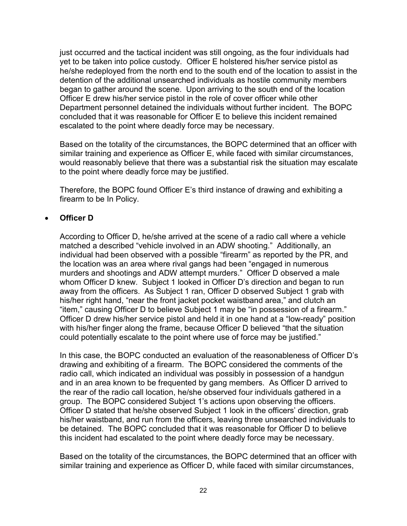just occurred and the tactical incident was still ongoing, as the four individuals had yet to be taken into police custody. Officer E holstered his/her service pistol as he/she redeployed from the north end to the south end of the location to assist in the detention of the additional unsearched individuals as hostile community members began to gather around the scene. Upon arriving to the south end of the location Officer E drew his/her service pistol in the role of cover officer while other Department personnel detained the individuals without further incident. The BOPC concluded that it was reasonable for Officer E to believe this incident remained escalated to the point where deadly force may be necessary.

Based on the totality of the circumstances, the BOPC determined that an officer with similar training and experience as Officer E, while faced with similar circumstances, would reasonably believe that there was a substantial risk the situation may escalate to the point where deadly force may be justified.

Therefore, the BOPC found Officer E's third instance of drawing and exhibiting a firearm to be In Policy.

## • **Officer D**

According to Officer D, he/she arrived at the scene of a radio call where a vehicle matched a described "vehicle involved in an ADW shooting." Additionally, an individual had been observed with a possible "firearm" as reported by the PR, and the location was an area where rival gangs had been "engaged in numerous murders and shootings and ADW attempt murders." Officer D observed a male whom Officer D knew. Subject 1 looked in Officer D's direction and began to run away from the officers. As Subject 1 ran, Officer D observed Subject 1 grab with his/her right hand, "near the front jacket pocket waistband area," and clutch an "item," causing Officer D to believe Subject 1 may be "in possession of a firearm." Officer D drew his/her service pistol and held it in one hand at a "low-ready" position with his/her finger along the frame, because Officer D believed "that the situation could potentially escalate to the point where use of force may be justified."

In this case, the BOPC conducted an evaluation of the reasonableness of Officer D's drawing and exhibiting of a firearm. The BOPC considered the comments of the radio call, which indicated an individual was possibly in possession of a handgun and in an area known to be frequented by gang members. As Officer D arrived to the rear of the radio call location, he/she observed four individuals gathered in a group. The BOPC considered Subject 1's actions upon observing the officers. Officer D stated that he/she observed Subject 1 look in the officers' direction, grab his/her waistband, and run from the officers, leaving three unsearched individuals to be detained. The BOPC concluded that it was reasonable for Officer D to believe this incident had escalated to the point where deadly force may be necessary.

Based on the totality of the circumstances, the BOPC determined that an officer with similar training and experience as Officer D, while faced with similar circumstances,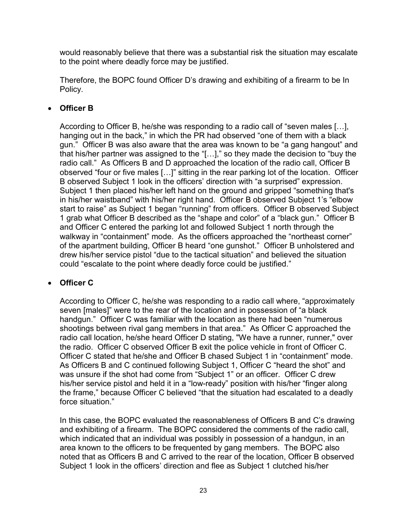would reasonably believe that there was a substantial risk the situation may escalate to the point where deadly force may be justified.

Therefore, the BOPC found Officer D's drawing and exhibiting of a firearm to be In Policy.

## • **Officer B**

According to Officer B, he/she was responding to a radio call of "seven males […], hanging out in the back," in which the PR had observed "one of them with a black gun." Officer B was also aware that the area was known to be "a gang hangout" and that his/her partner was assigned to the "[…]," so they made the decision to "buy the radio call." As Officers B and D approached the location of the radio call, Officer B observed "four or five males […]" sitting in the rear parking lot of the location. Officer B observed Subject 1 look in the officers' direction with "a surprised" expression. Subject 1 then placed his/her left hand on the ground and gripped "something that's in his/her waistband" with his/her right hand. Officer B observed Subject 1's "elbow start to raise" as Subject 1 began "running" from officers. Officer B observed Subject 1 grab what Officer B described as the "shape and color" of a "black gun." Officer B and Officer C entered the parking lot and followed Subject 1 north through the walkway in "containment" mode. As the officers approached the "northeast corner" of the apartment building, Officer B heard "one gunshot." Officer B unholstered and drew his/her service pistol "due to the tactical situation" and believed the situation could "escalate to the point where deadly force could be justified."

## • **Officer C**

According to Officer C, he/she was responding to a radio call where, "approximately seven [males]" were to the rear of the location and in possession of "a black handgun." Officer C was familiar with the location as there had been "numerous shootings between rival gang members in that area." As Officer C approached the radio call location, he/she heard Officer D stating, "We have a runner, runner," over the radio. Officer C observed Officer B exit the police vehicle in front of Officer C. Officer C stated that he/she and Officer B chased Subject 1 in "containment" mode. As Officers B and C continued following Subject 1, Officer C "heard the shot" and was unsure if the shot had come from "Subject 1" or an officer. Officer C drew his/her service pistol and held it in a "low-ready" position with his/her "finger along the frame," because Officer C believed "that the situation had escalated to a deadly force situation."

In this case, the BOPC evaluated the reasonableness of Officers B and C's drawing and exhibiting of a firearm. The BOPC considered the comments of the radio call, which indicated that an individual was possibly in possession of a handgun, in an area known to the officers to be frequented by gang members. The BOPC also noted that as Officers B and C arrived to the rear of the location, Officer B observed Subject 1 look in the officers' direction and flee as Subject 1 clutched his/her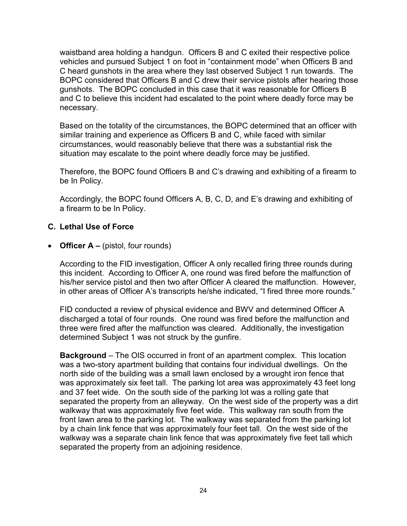waistband area holding a handgun. Officers B and C exited their respective police vehicles and pursued Subject 1 on foot in "containment mode" when Officers B and C heard gunshots in the area where they last observed Subject 1 run towards. The BOPC considered that Officers B and C drew their service pistols after hearing those gunshots. The BOPC concluded in this case that it was reasonable for Officers B and C to believe this incident had escalated to the point where deadly force may be necessary.

Based on the totality of the circumstances, the BOPC determined that an officer with similar training and experience as Officers B and C, while faced with similar circumstances, would reasonably believe that there was a substantial risk the situation may escalate to the point where deadly force may be justified.

Therefore, the BOPC found Officers B and C's drawing and exhibiting of a firearm to be In Policy.

Accordingly, the BOPC found Officers A, B, C, D, and E's drawing and exhibiting of a firearm to be In Policy.

### **C. Lethal Use of Force**

• **Officer A –** (pistol, four rounds)

According to the FID investigation, Officer A only recalled firing three rounds during this incident. According to Officer A, one round was fired before the malfunction of his/her service pistol and then two after Officer A cleared the malfunction. However, in other areas of Officer A's transcripts he/she indicated, "I fired three more rounds."

FID conducted a review of physical evidence and BWV and determined Officer A discharged a total of four rounds. One round was fired before the malfunction and three were fired after the malfunction was cleared. Additionally, the investigation determined Subject 1 was not struck by the gunfire.

**Background** – The OIS occurred in front of an apartment complex. This location was a two-story apartment building that contains four individual dwellings. On the north side of the building was a small lawn enclosed by a wrought iron fence that was approximately six feet tall. The parking lot area was approximately 43 feet long and 37 feet wide. On the south side of the parking lot was a rolling gate that separated the property from an alleyway. On the west side of the property was a dirt walkway that was approximately five feet wide. This walkway ran south from the front lawn area to the parking lot. The walkway was separated from the parking lot by a chain link fence that was approximately four feet tall. On the west side of the walkway was a separate chain link fence that was approximately five feet tall which separated the property from an adjoining residence.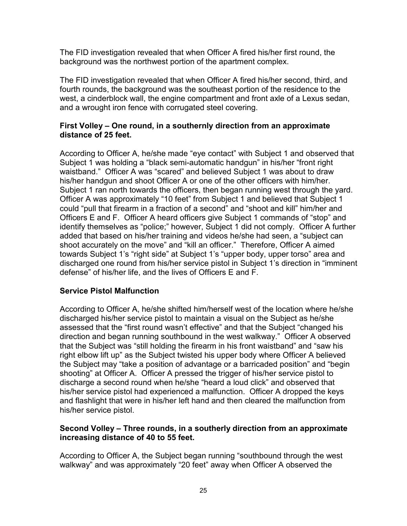The FID investigation revealed that when Officer A fired his/her first round, the background was the northwest portion of the apartment complex.

The FID investigation revealed that when Officer A fired his/her second, third, and fourth rounds, the background was the southeast portion of the residence to the west, a cinderblock wall, the engine compartment and front axle of a Lexus sedan, and a wrought iron fence with corrugated steel covering.

### **First Volley – One round, in a southernly direction from an approximate distance of 25 feet.**

According to Officer A, he/she made "eye contact" with Subject 1 and observed that Subject 1 was holding a "black semi-automatic handgun" in his/her "front right waistband." Officer A was "scared" and believed Subject 1 was about to draw his/her handgun and shoot Officer A or one of the other officers with him/her. Subject 1 ran north towards the officers, then began running west through the yard. Officer A was approximately "10 feet" from Subject 1 and believed that Subject 1 could "pull that firearm in a fraction of a second" and "shoot and kill" him/her and Officers E and F. Officer A heard officers give Subject 1 commands of "stop" and identify themselves as "police;" however, Subject 1 did not comply. Officer A further added that based on his/her training and videos he/she had seen, a "subject can shoot accurately on the move" and "kill an officer." Therefore, Officer A aimed towards Subject 1's "right side" at Subject 1's "upper body, upper torso" area and discharged one round from his/her service pistol in Subject 1's direction in "imminent defense" of his/her life, and the lives of Officers E and F.

## **Service Pistol Malfunction**

According to Officer A, he/she shifted him/herself west of the location where he/she discharged his/her service pistol to maintain a visual on the Subject as he/she assessed that the "first round wasn't effective" and that the Subject "changed his direction and began running southbound in the west walkway." Officer A observed that the Subject was "still holding the firearm in his front waistband" and "saw his right elbow lift up" as the Subject twisted his upper body where Officer A believed the Subject may "take a position of advantage or a barricaded position" and "begin shooting" at Officer A. Officer A pressed the trigger of his/her service pistol to discharge a second round when he/she "heard a loud click" and observed that his/her service pistol had experienced a malfunction. Officer A dropped the keys and flashlight that were in his/her left hand and then cleared the malfunction from his/her service pistol.

#### **Second Volley – Three rounds, in a southerly direction from an approximate increasing distance of 40 to 55 feet.**

According to Officer A, the Subject began running "southbound through the west walkway" and was approximately "20 feet" away when Officer A observed the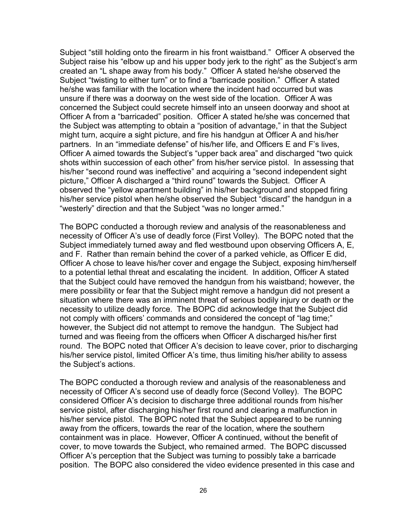Subject "still holding onto the firearm in his front waistband." Officer A observed the Subject raise his "elbow up and his upper body jerk to the right" as the Subject's arm created an "L shape away from his body." Officer A stated he/she observed the Subject "twisting to either turn" or to find a "barricade position." Officer A stated he/she was familiar with the location where the incident had occurred but was unsure if there was a doorway on the west side of the location. Officer A was concerned the Subject could secrete himself into an unseen doorway and shoot at Officer A from a "barricaded" position. Officer A stated he/she was concerned that the Subject was attempting to obtain a "position of advantage," in that the Subject might turn, acquire a sight picture, and fire his handgun at Officer A and his/her partners. In an "immediate defense" of his/her life, and Officers E and F's lives, Officer A aimed towards the Subject's "upper back area" and discharged "two quick shots within succession of each other" from his/her service pistol. In assessing that his/her "second round was ineffective" and acquiring a "second independent sight picture," Officer A discharged a "third round" towards the Subject. Officer A observed the "yellow apartment building" in his/her background and stopped firing his/her service pistol when he/she observed the Subject "discard" the handgun in a "westerly" direction and that the Subject "was no longer armed."

The BOPC conducted a thorough review and analysis of the reasonableness and necessity of Officer A's use of deadly force (First Volley). The BOPC noted that the Subject immediately turned away and fled westbound upon observing Officers A, E, and F. Rather than remain behind the cover of a parked vehicle, as Officer E did, Officer A chose to leave his/her cover and engage the Subject, exposing him/herself to a potential lethal threat and escalating the incident. In addition, Officer A stated that the Subject could have removed the handgun from his waistband; however, the mere possibility or fear that the Subject might remove a handgun did not present a situation where there was an imminent threat of serious bodily injury or death or the necessity to utilize deadly force. The BOPC did acknowledge that the Subject did not comply with officers' commands and considered the concept of "lag time;" however, the Subject did not attempt to remove the handgun. The Subject had turned and was fleeing from the officers when Officer A discharged his/her first round. The BOPC noted that Officer A's decision to leave cover, prior to discharging his/her service pistol, limited Officer A's time, thus limiting his/her ability to assess the Subject's actions.

The BOPC conducted a thorough review and analysis of the reasonableness and necessity of Officer A's second use of deadly force (Second Volley). The BOPC considered Officer A's decision to discharge three additional rounds from his/her service pistol, after discharging his/her first round and clearing a malfunction in his/her service pistol. The BOPC noted that the Subject appeared to be running away from the officers, towards the rear of the location, where the southern containment was in place. However, Officer A continued, without the benefit of cover, to move towards the Subject, who remained armed. The BOPC discussed Officer A's perception that the Subject was turning to possibly take a barricade position. The BOPC also considered the video evidence presented in this case and